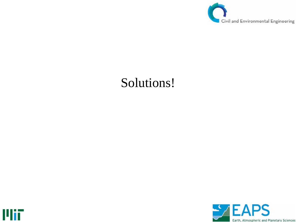

## Solutions!



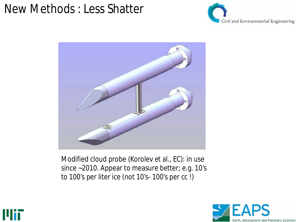#### New Methods : Less Shatter





Modified cloud probe (Korolev et al., EC): in use since ~2010. Appear to measure better; e.g. 10's to 100's per liter ice (not 10's- 100's per cc !)



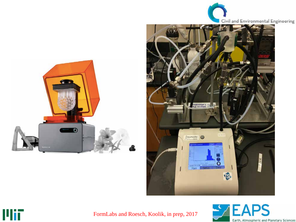





FormLabs and Roesch, Koolik, in prep, 2017

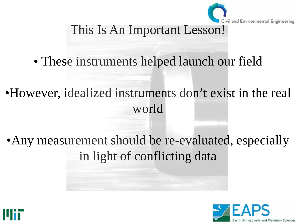

#### This Is An Important Lesson!

- These instruments helped launch our field
- •However, idealized instruments don't exist in the real world
- Any measurement should be re-evaluated, especially in light of conflicting data



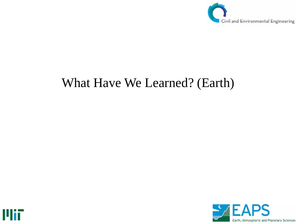

#### What Have We Learned? (Earth)



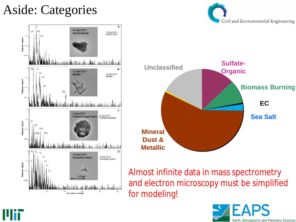## Aside: Categories





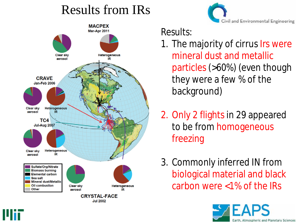## Results from IRs





Results:

- 1. The majority of cirrus Irs were mineral dust and metallic particles (>60%) (even though they were a few % of the background)
- 2. Only 2 flights in 29 appeared to be from homogeneous freezing
- 3. Commonly inferred IN from biological material and black carbon were <1% of the IRs

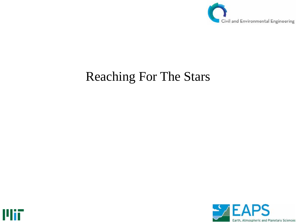

## Reaching For The Stars



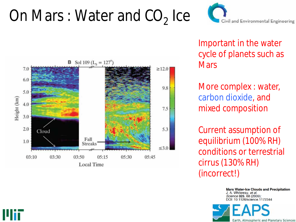# On Mars : Water and  $CO<sub>2</sub>$  Ice



Important in the water cycle of planets such as **Mars** 

More complex : water, carbon dioxide, and mixed composition

Current assumption of equilibrium (100% RH) conditions or terrestrial cirrus (130% RH) (incorrect!)

> **Mars Water-Ice Clouds and Precipitation** J. A. Whiteway, et al. Science 325, 68 (2009); DOI: 10.1126/science.1172344